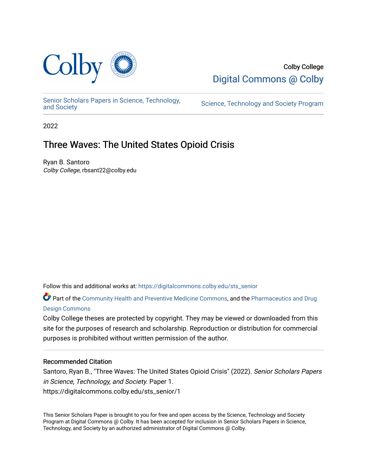

Colby College [Digital Commons @ Colby](https://digitalcommons.colby.edu/) 

[Senior Scholars Papers in Science, Technology,](https://digitalcommons.colby.edu/sts_senior) and Society

Science, Technology [and Society](https://digitalcommons.colby.edu/sts_senior) Program

2022

# Three Waves: The United States Opioid Crisis

Ryan B. Santoro Colby College, rbsant22@colby.edu

Follow this and additional works at: [https://digitalcommons.colby.edu/sts\\_senior](https://digitalcommons.colby.edu/sts_senior?utm_source=digitalcommons.colby.edu%2Fsts_senior%2F1&utm_medium=PDF&utm_campaign=PDFCoverPages) 

Part of the [Community Health and Preventive Medicine Commons](https://network.bepress.com/hgg/discipline/744?utm_source=digitalcommons.colby.edu%2Fsts_senior%2F1&utm_medium=PDF&utm_campaign=PDFCoverPages), and the Pharmaceutics and Drug [Design Commons](https://network.bepress.com/hgg/discipline/733?utm_source=digitalcommons.colby.edu%2Fsts_senior%2F1&utm_medium=PDF&utm_campaign=PDFCoverPages)

Colby College theses are protected by copyright. They may be viewed or downloaded from this site for the purposes of research and scholarship. Reproduction or distribution for commercial purposes is prohibited without written permission of the author.

### Recommended Citation

Santoro, Ryan B., "Three Waves: The United States Opioid Crisis" (2022). Senior Scholars Papers in Science, Technology, and Society. Paper 1. https://digitalcommons.colby.edu/sts\_senior/1

This Senior Scholars Paper is brought to you for free and open access by the Science, Technology and Society Program at Digital Commons @ Colby. It has been accepted for inclusion in Senior Scholars Papers in Science, Technology, and Society by an authorized administrator of Digital Commons @ Colby.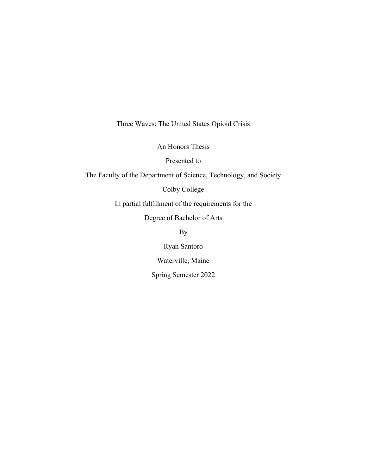Three Waves: The United States Opioid Crisis

An Honors Thesis

Presented to

The Faculty of the Department of Science, Technology, and Society

Colby College

In partial fulfillment of the requirements for the

Degree of Bachelor of Arts

By

Ryan Santoro

Waterville, Maine

Spring Semester 2022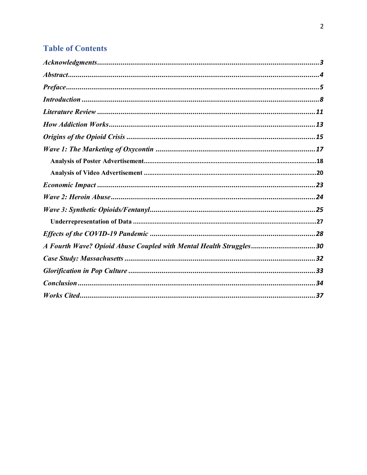# **Table of Contents**

| A Fourth Wave? Opioid Abuse Coupled with Mental Health Struggles30 |
|--------------------------------------------------------------------|
|                                                                    |
|                                                                    |
|                                                                    |
|                                                                    |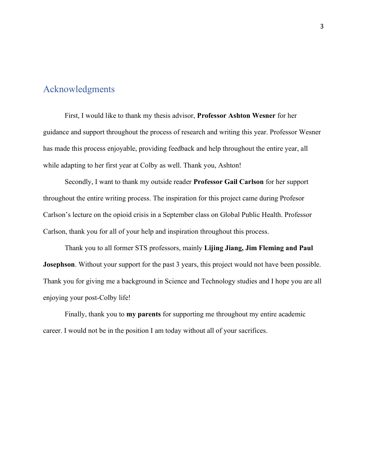## <span id="page-3-0"></span>Acknowledgments

First, I would like to thank my thesis advisor, **Professor Ashton Wesner** for her guidance and support throughout the process of research and writing this year. Professor Wesner has made this process enjoyable, providing feedback and help throughout the entire year, all while adapting to her first year at Colby as well. Thank you, Ashton!

Secondly, I want to thank my outside reader **Professor Gail Carlson** for her support throughout the entire writing process. The inspiration for this project came during Profesor Carlson's lecture on the opioid crisis in a September class on Global Public Health. Professor Carlson, thank you for all of your help and inspiration throughout this process.

Thank you to all former STS professors, mainly **Lijing Jiang, Jim Fleming and Paul Josephson**. Without your support for the past 3 years, this project would not have been possible. Thank you for giving me a background in Science and Technology studies and I hope you are all enjoying your post-Colby life!

Finally, thank you to **my parents** for supporting me throughout my entire academic career. I would not be in the position I am today without all of your sacrifices.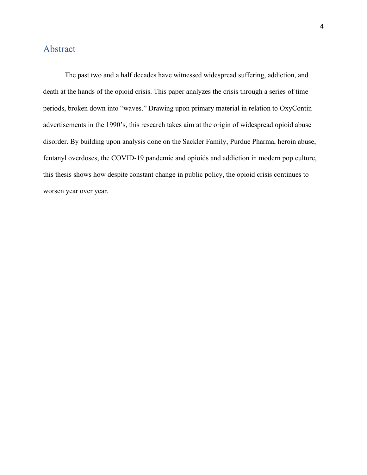# <span id="page-4-0"></span>Abstract

The past two and a half decades have witnessed widespread suffering, addiction, and death at the hands of the opioid crisis. This paper analyzes the crisis through a series of time periods, broken down into "waves." Drawing upon primary material in relation to OxyContin advertisements in the 1990's, this research takes aim at the origin of widespread opioid abuse disorder. By building upon analysis done on the Sackler Family, Purdue Pharma, heroin abuse, fentanyl overdoses, the COVID-19 pandemic and opioids and addiction in modern pop culture, this thesis shows how despite constant change in public policy, the opioid crisis continues to worsen year over year.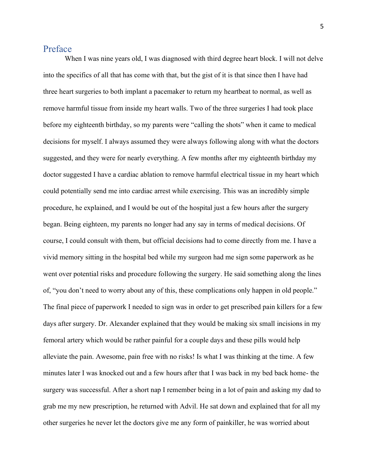### <span id="page-5-0"></span>Preface

When I was nine years old, I was diagnosed with third degree heart block. I will not delve into the specifics of all that has come with that, but the gist of it is that since then I have had three heart surgeries to both implant a pacemaker to return my heartbeat to normal, as well as remove harmful tissue from inside my heart walls. Two of the three surgeries I had took place before my eighteenth birthday, so my parents were "calling the shots" when it came to medical decisions for myself. I always assumed they were always following along with what the doctors suggested, and they were for nearly everything. A few months after my eighteenth birthday my doctor suggested I have a cardiac ablation to remove harmful electrical tissue in my heart which could potentially send me into cardiac arrest while exercising. This was an incredibly simple procedure, he explained, and I would be out of the hospital just a few hours after the surgery began. Being eighteen, my parents no longer had any say in terms of medical decisions. Of course, I could consult with them, but official decisions had to come directly from me. I have a vivid memory sitting in the hospital bed while my surgeon had me sign some paperwork as he went over potential risks and procedure following the surgery. He said something along the lines of, "you don't need to worry about any of this, these complications only happen in old people." The final piece of paperwork I needed to sign was in order to get prescribed pain killers for a few days after surgery. Dr. Alexander explained that they would be making six small incisions in my femoral artery which would be rather painful for a couple days and these pills would help alleviate the pain. Awesome, pain free with no risks! Is what I was thinking at the time. A few minutes later I was knocked out and a few hours after that I was back in my bed back home- the surgery was successful. After a short nap I remember being in a lot of pain and asking my dad to grab me my new prescription, he returned with Advil. He sat down and explained that for all my other surgeries he never let the doctors give me any form of painkiller, he was worried about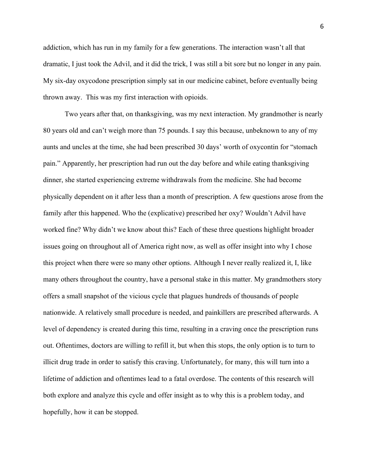addiction, which has run in my family for a few generations. The interaction wasn't all that dramatic, I just took the Advil, and it did the trick, I was still a bit sore but no longer in any pain. My six-day oxycodone prescription simply sat in our medicine cabinet, before eventually being thrown away. This was my first interaction with opioids.

Two years after that, on thanksgiving, was my next interaction. My grandmother is nearly 80 years old and can't weigh more than 75 pounds. I say this because, unbeknown to any of my aunts and uncles at the time, she had been prescribed 30 days' worth of oxycontin for "stomach pain." Apparently, her prescription had run out the day before and while eating thanksgiving dinner, she started experiencing extreme withdrawals from the medicine. She had become physically dependent on it after less than a month of prescription. A few questions arose from the family after this happened. Who the (explicative) prescribed her oxy? Wouldn't Advil have worked fine? Why didn't we know about this? Each of these three questions highlight broader issues going on throughout all of America right now, as well as offer insight into why I chose this project when there were so many other options. Although I never really realized it, I, like many others throughout the country, have a personal stake in this matter. My grandmothers story offers a small snapshot of the vicious cycle that plagues hundreds of thousands of people nationwide. A relatively small procedure is needed, and painkillers are prescribed afterwards. A level of dependency is created during this time, resulting in a craving once the prescription runs out. Oftentimes, doctors are willing to refill it, but when this stops, the only option is to turn to illicit drug trade in order to satisfy this craving. Unfortunately, for many, this will turn into a lifetime of addiction and oftentimes lead to a fatal overdose. The contents of this research will both explore and analyze this cycle and offer insight as to why this is a problem today, and hopefully, how it can be stopped.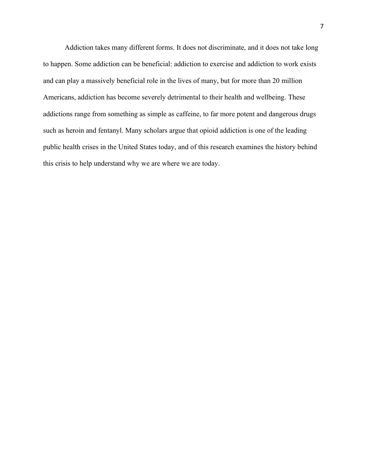Addiction takes many different forms. It does not discriminate, and it does not take long to happen. Some addiction can be beneficial: addiction to exercise and addiction to work exists and can play a massively beneficial role in the lives of many, but for more than 20 million Americans, addiction has become severely detrimental to their health and wellbeing. These addictions range from something as simple as caffeine, to far more potent and dangerous drugs such as heroin and fentanyl. Many scholars argue that opioid addiction is one of the leading public health crises in the United States today, and of this research examines the history behind this crisis to help understand why we are where we are today.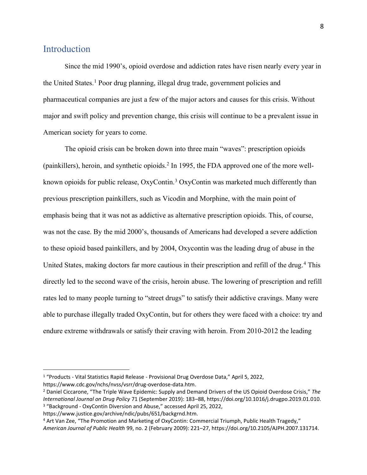# <span id="page-8-0"></span>Introduction

Since the mid 1990's, opioid overdose and addiction rates have risen nearly every year in the United States.<sup>1</sup> Poor drug planning, illegal drug trade, government policies and pharmaceutical companies are just a few of the major actors and causes for this crisis. Without major and swift policy and prevention change, this crisis will continue to be a prevalent issue in American society for years to come.

The opioid crisis can be broken down into three main "waves": prescription opioids (painkillers), heroin, and synthetic opioids.<sup>2</sup> In 1995, the FDA approved one of the more wellknown opioids for public release, OxyContin.<sup>3</sup> OxyContin was marketed much differently than previous prescription painkillers, such as Vicodin and Morphine, with the main point of emphasis being that it was not as addictive as alternative prescription opioids. This, of course, was not the case. By the mid 2000's, thousands of Americans had developed a severe addiction to these opioid based painkillers, and by 2004, Oxycontin was the leading drug of abuse in the United States, making doctors far more cautious in their prescription and refill of the drug.<sup>4</sup> This directly led to the second wave of the crisis, heroin abuse. The lowering of prescription and refill rates led to many people turning to "street drugs" to satisfy their addictive cravings. Many were able to purchase illegally traded OxyContin, but for others they were faced with a choice: try and endure extreme withdrawals or satisfy their craving with heroin. From 2010-2012 the leading

<sup>1</sup> "Products - Vital Statistics Rapid Release - Provisional Drug Overdose Data," April 5, 2022, https://www.cdc.gov/nchs/nvss/vsrr/drug-overdose-data.htm.

<sup>2</sup> Daniel Ciccarone, "The Triple Wave Epidemic: Supply and Demand Drivers of the US Opioid Overdose Crisis," *The International Journal on Drug Policy* 71 (September 2019): 183–88, https://doi.org/10.1016/j.drugpo.2019.01.010. <sup>3</sup> "Background - OxyContin Diversion and Abuse," accessed April 25, 2022,

https://www.justice.gov/archive/ndic/pubs/651/backgrnd.htm.

<sup>4</sup> Art Van Zee, "The Promotion and Marketing of OxyContin: Commercial Triumph, Public Health Tragedy," *American Journal of Public Health* 99, no. 2 (February 2009): 221–27, https://doi.org/10.2105/AJPH.2007.131714.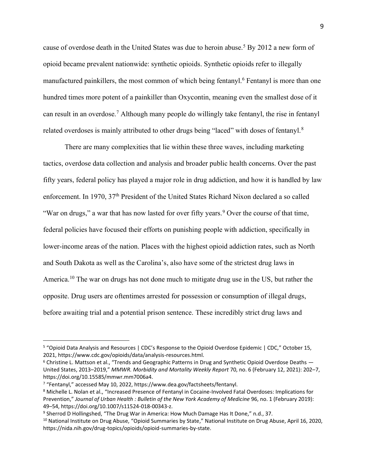cause of overdose death in the United States was due to heroin abuse. <sup>5</sup> By 2012 a new form of opioid became prevalent nationwide: synthetic opioids. Synthetic opioids refer to illegally manufactured painkillers, the most common of which being fentanyl.<sup>6</sup> Fentanyl is more than one hundred times more potent of a painkiller than Oxycontin, meaning even the smallest dose of it can result in an overdose.<sup>7</sup> Although many people do willingly take fentanyl, the rise in fentanyl related overdoses is mainly attributed to other drugs being "laced" with doses of fentanyl.<sup>8</sup>

There are many complexities that lie within these three waves, including marketing tactics, overdose data collection and analysis and broader public health concerns. Over the past fifty years, federal policy has played a major role in drug addiction, and how it is handled by law enforcement. In 1970, 37<sup>th</sup> President of the United States Richard Nixon declared a so called "War on drugs," a war that has now lasted for over fifty years.<sup>9</sup> Over the course of that time, federal policies have focused their efforts on punishing people with addiction, specifically in lower-income areas of the nation. Places with the highest opioid addiction rates, such as North and South Dakota as well as the Carolina's, also have some of the strictest drug laws in America.<sup>10</sup> The war on drugs has not done much to mitigate drug use in the US, but rather the opposite. Drug users are oftentimes arrested for possession or consumption of illegal drugs, before awaiting trial and a potential prison sentence. These incredibly strict drug laws and

<sup>5</sup> "Opioid Data Analysis and Resources | CDC's Response to the Opioid Overdose Epidemic | CDC," October 15, 2021, https://www.cdc.gov/opioids/data/analysis-resources.html.

<sup>6</sup> Christine L. Mattson et al., "Trends and Geographic Patterns in Drug and Synthetic Opioid Overdose Deaths — United States, 2013–2019," *MMWR. Morbidity and Mortality Weekly Report* 70, no. 6 (February 12, 2021): 202–7, https://doi.org/10.15585/mmwr.mm7006a4.

<sup>7</sup> "Fentanyl," accessed May 10, 2022, https://www.dea.gov/factsheets/fentanyl.

<sup>8</sup> Michelle L. Nolan et al., "Increased Presence of Fentanyl in Cocaine-Involved Fatal Overdoses: Implications for Prevention," *Journal of Urban Health : Bulletin of the New York Academy of Medicine* 96, no. 1 (February 2019): 49–54, https://doi.org/10.1007/s11524-018-00343-z.

<sup>9</sup> Sherrod D Hollingshed, "The Drug War in America: How Much Damage Has It Done," n.d., 37.

<sup>&</sup>lt;sup>10</sup> National Institute on Drug Abuse, "Opioid Summaries by State," National Institute on Drug Abuse, April 16, 2020, https://nida.nih.gov/drug-topics/opioids/opioid-summaries-by-state.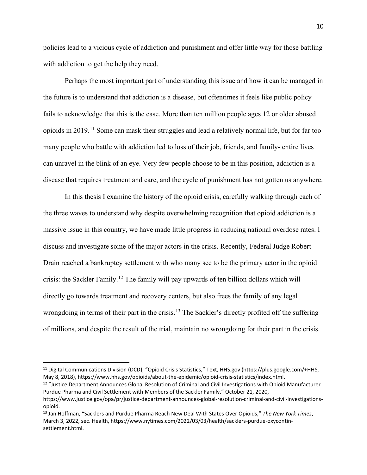policies lead to a vicious cycle of addiction and punishment and offer little way for those battling with addiction to get the help they need.

Perhaps the most important part of understanding this issue and how it can be managed in the future is to understand that addiction is a disease, but oftentimes it feels like public policy fails to acknowledge that this is the case. More than ten million people ages 12 or older abused opioids in 2019. <sup>11</sup> Some can mask their struggles and lead a relatively normal life, but for far too many people who battle with addiction led to loss of their job, friends, and family- entire lives can unravel in the blink of an eye. Very few people choose to be in this position, addiction is a disease that requires treatment and care, and the cycle of punishment has not gotten us anywhere.

In this thesis I examine the history of the opioid crisis, carefully walking through each of the three waves to understand why despite overwhelming recognition that opioid addiction is a massive issue in this country, we have made little progress in reducing national overdose rates. I discuss and investigate some of the major actors in the crisis. Recently, Federal Judge Robert Drain reached a bankruptcy settlement with who many see to be the primary actor in the opioid crisis: the Sackler Family.<sup>12</sup> The family will pay upwards of ten billion dollars which will directly go towards treatment and recovery centers, but also frees the family of any legal wrongdoing in terms of their part in the crisis.<sup>13</sup> The Sackler's directly profited off the suffering of millions, and despite the result of the trial, maintain no wrongdoing for their part in the crisis.

<sup>11</sup> Digital Communications Division (DCD), "Opioid Crisis Statistics," Text, HHS.gov (https://plus.google.com/+HHS, May 8, 2018), https://www.hhs.gov/opioids/about-the-epidemic/opioid-crisis-statistics/index.html.

<sup>&</sup>lt;sup>12</sup> "Justice Department Announces Global Resolution of Criminal and Civil Investigations with Opioid Manufacturer Purdue Pharma and Civil Settlement with Members of the Sackler Family," October 21, 2020,

https://www.justice.gov/opa/pr/justice-department-announces-global-resolution-criminal-and-civil-investigationsopioid.

<sup>13</sup> Jan Hoffman, "Sacklers and Purdue Pharma Reach New Deal With States Over Opioids," *The New York Times*, March 3, 2022, sec. Health, https://www.nytimes.com/2022/03/03/health/sacklers-purdue-oxycontinsettlement.html.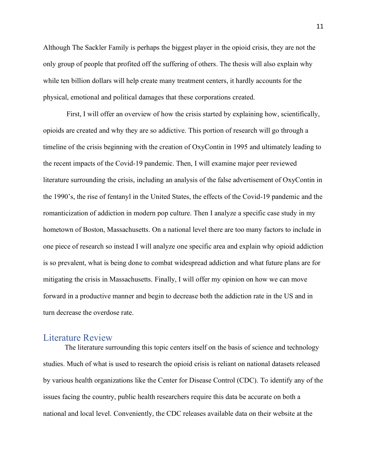Although The Sackler Family is perhaps the biggest player in the opioid crisis, they are not the only group of people that profited off the suffering of others. The thesis will also explain why while ten billion dollars will help create many treatment centers, it hardly accounts for the physical, emotional and political damages that these corporations created.

First, I will offer an overview of how the crisis started by explaining how, scientifically, opioids are created and why they are so addictive. This portion of research will go through a timeline of the crisis beginning with the creation of OxyContin in 1995 and ultimately leading to the recent impacts of the Covid-19 pandemic. Then, I will examine major peer reviewed literature surrounding the crisis, including an analysis of the false advertisement of OxyContin in the 1990's, the rise of fentanyl in the United States, the effects of the Covid-19 pandemic and the romanticization of addiction in modern pop culture. Then I analyze a specific case study in my hometown of Boston, Massachusetts. On a national level there are too many factors to include in one piece of research so instead I will analyze one specific area and explain why opioid addiction is so prevalent, what is being done to combat widespread addiction and what future plans are for mitigating the crisis in Massachusetts. Finally, I will offer my opinion on how we can move forward in a productive manner and begin to decrease both the addiction rate in the US and in turn decrease the overdose rate.

### <span id="page-11-0"></span>Literature Review

The literature surrounding this topic centers itself on the basis of science and technology studies. Much of what is used to research the opioid crisis is reliant on national datasets released by various health organizations like the Center for Disease Control (CDC). To identify any of the issues facing the country, public health researchers require this data be accurate on both a national and local level. Conveniently, the CDC releases available data on their website at the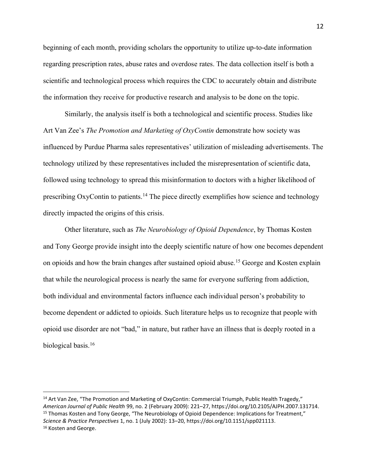beginning of each month, providing scholars the opportunity to utilize up-to-date information regarding prescription rates, abuse rates and overdose rates. The data collection itself is both a scientific and technological process which requires the CDC to accurately obtain and distribute the information they receive for productive research and analysis to be done on the topic.

Similarly, the analysis itself is both a technological and scientific process. Studies like Art Van Zee's *The Promotion and Marketing of OxyContin* demonstrate how society was influenced by Purdue Pharma sales representatives' utilization of misleading advertisements. The technology utilized by these representatives included the misrepresentation of scientific data, followed using technology to spread this misinformation to doctors with a higher likelihood of prescribing OxyContin to patients.<sup>14</sup> The piece directly exemplifies how science and technology directly impacted the origins of this crisis.

Other literature, such as *The Neurobiology of Opioid Dependence*, by Thomas Kosten and Tony George provide insight into the deeply scientific nature of how one becomes dependent on opioids and how the brain changes after sustained opioid abuse.<sup>15</sup> George and Kosten explain that while the neurological process is nearly the same for everyone suffering from addiction, both individual and environmental factors influence each individual person's probability to become dependent or addicted to opioids. Such literature helps us to recognize that people with opioid use disorder are not "bad," in nature, but rather have an illness that is deeply rooted in a biological basis.<sup>16</sup>

<sup>&</sup>lt;sup>14</sup> Art Van Zee, "The Promotion and Marketing of OxyContin: Commercial Triumph, Public Health Tragedy," *American Journal of Public Health* 99, no. 2 (February 2009): 221–27, https://doi.org/10.2105/AJPH.2007.131714. <sup>15</sup> Thomas Kosten and Tony George, "The Neurobiology of Opioid Dependence: Implications for Treatment," *Science & Practice Perspectives* 1, no. 1 (July 2002): 13–20, https://doi.org/10.1151/spp021113. <sup>16</sup> Kosten and George.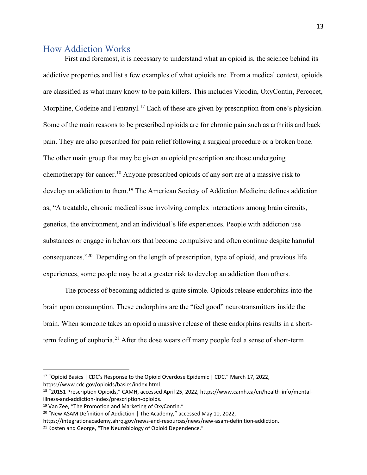### <span id="page-13-0"></span>How Addiction Works

First and foremost, it is necessary to understand what an opioid is, the science behind its addictive properties and list a few examples of what opioids are. From a medical context, opioids are classified as what many know to be pain killers. This includes Vicodin, OxyContin, Percocet, Morphine, Codeine and Fentanyl.<sup>17</sup> Each of these are given by prescription from one's physician. Some of the main reasons to be prescribed opioids are for chronic pain such as arthritis and back pain. They are also prescribed for pain relief following a surgical procedure or a broken bone. The other main group that may be given an opioid prescription are those undergoing chemotherapy for cancer.<sup>18</sup> Anyone prescribed opioids of any sort are at a massive risk to develop an addiction to them.<sup>19</sup> The American Society of Addiction Medicine defines addiction as, "A treatable, chronic medical issue involving complex interactions among brain circuits, genetics, the environment, and an individual's life experiences. People with addiction use substances or engage in behaviors that become compulsive and often continue despite harmful consequences."<sup>20</sup> Depending on the length of prescription, type of opioid, and previous life experiences, some people may be at a greater risk to develop an addiction than others.

The process of becoming addicted is quite simple. Opioids release endorphins into the brain upon consumption. These endorphins are the "feel good" neurotransmitters inside the brain. When someone takes an opioid a massive release of these endorphins results in a shortterm feeling of euphoria.<sup>21</sup> After the dose wears off many people feel a sense of short-term

https://integrationacademy.ahrq.gov/news-and-resources/news/new-asam-definition-addiction.

<sup>&</sup>lt;sup>17</sup> "Opioid Basics | CDC's Response to the Opioid Overdose Epidemic | CDC," March 17, 2022, https://www.cdc.gov/opioids/basics/index.html.

<sup>18</sup> "20151 Prescription Opioids," CAMH, accessed April 25, 2022, https://www.camh.ca/en/health-info/mentalillness-and-addiction-index/prescription-opioids.

<sup>19</sup> Van Zee, "The Promotion and Marketing of OxyContin."

<sup>&</sup>lt;sup>20</sup> "New ASAM Definition of Addiction | The Academy," accessed May 10, 2022,

<sup>&</sup>lt;sup>21</sup> Kosten and George, "The Neurobiology of Opioid Dependence."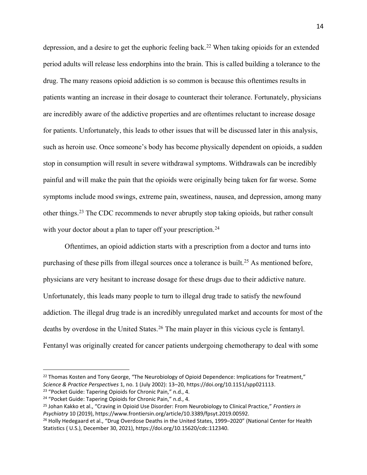depression, and a desire to get the euphoric feeling back.<sup>22</sup> When taking opioids for an extended period adults will release less endorphins into the brain. This is called building a tolerance to the drug. The many reasons opioid addiction is so common is because this oftentimes results in patients wanting an increase in their dosage to counteract their tolerance. Fortunately, physicians are incredibly aware of the addictive properties and are oftentimes reluctant to increase dosage for patients. Unfortunately, this leads to other issues that will be discussed later in this analysis, such as heroin use. Once someone's body has become physically dependent on opioids, a sudden stop in consumption will result in severe withdrawal symptoms. Withdrawals can be incredibly painful and will make the pain that the opioids were originally being taken for far worse. Some symptoms include mood swings, extreme pain, sweatiness, nausea, and depression, among many other things.<sup>23</sup> The CDC recommends to never abruptly stop taking opioids, but rather consult with your doctor about a plan to taper off your prescription.<sup>24</sup>

Oftentimes, an opioid addiction starts with a prescription from a doctor and turns into purchasing of these pills from illegal sources once a tolerance is built.<sup>25</sup> As mentioned before, physicians are very hesitant to increase dosage for these drugs due to their addictive nature. Unfortunately, this leads many people to turn to illegal drug trade to satisfy the newfound addiction. The illegal drug trade is an incredibly unregulated market and accounts for most of the deaths by overdose in the United States.<sup>26</sup> The main player in this vicious cycle is fentanyl. Fentanyl was originally created for cancer patients undergoing chemotherapy to deal with some

<sup>&</sup>lt;sup>22</sup> Thomas Kosten and Tony George, "The Neurobiology of Opioid Dependence: Implications for Treatment," *Science & Practice Perspectives* 1, no. 1 (July 2002): 13–20, https://doi.org/10.1151/spp021113.

<sup>&</sup>lt;sup>23</sup> "Pocket Guide: Tapering Opioids for Chronic Pain," n.d., 4.

<sup>&</sup>lt;sup>24</sup> "Pocket Guide: Tapering Opioids for Chronic Pain," n.d., 4.

<sup>25</sup> Johan Kakko et al., "Craving in Opioid Use Disorder: From Neurobiology to Clinical Practice," *Frontiers in Psychiatry* 10 (2019), https://www.frontiersin.org/article/10.3389/fpsyt.2019.00592.

<sup>&</sup>lt;sup>26</sup> Holly Hedegaard et al., "Drug Overdose Deaths in the United States, 1999–2020" (National Center for Health Statistics ( U.S.), December 30, 2021), https://doi.org/10.15620/cdc:112340.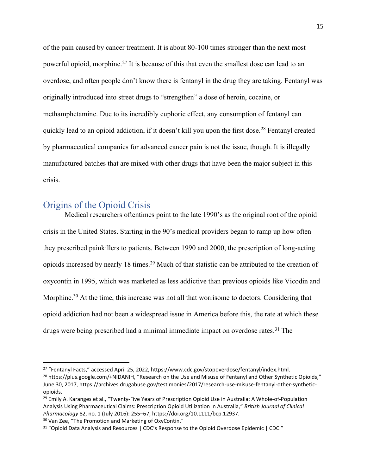of the pain caused by cancer treatment. It is about 80-100 times stronger than the next most powerful opioid, morphine.<sup>27</sup> It is because of this that even the smallest dose can lead to an overdose, and often people don't know there is fentanyl in the drug they are taking. Fentanyl was originally introduced into street drugs to "strengthen" a dose of heroin, cocaine, or methamphetamine. Due to its incredibly euphoric effect, any consumption of fentanyl can quickly lead to an opioid addiction, if it doesn't kill you upon the first dose.<sup>28</sup> Fentanyl created by pharmaceutical companies for advanced cancer pain is not the issue, though. It is illegally manufactured batches that are mixed with other drugs that have been the major subject in this crisis.

## <span id="page-15-0"></span>Origins of the Opioid Crisis

Medical researchers oftentimes point to the late 1990's as the original root of the opioid crisis in the United States. Starting in the 90's medical providers began to ramp up how often they prescribed painkillers to patients. Between 1990 and 2000, the prescription of long-acting opioids increased by nearly 18 times.<sup>29</sup> Much of that statistic can be attributed to the creation of oxycontin in 1995, which was marketed as less addictive than previous opioids like Vicodin and Morphine.<sup>30</sup> At the time, this increase was not all that worrisome to doctors. Considering that opioid addiction had not been a widespread issue in America before this, the rate at which these drugs were being prescribed had a minimal immediate impact on overdose rates.<sup>31</sup> The

<sup>&</sup>lt;sup>27</sup> "Fentanyl Facts," accessed April 25, 2022, https://www.cdc.gov/stopoverdose/fentanyl/index.html.

<sup>&</sup>lt;sup>28</sup> https://plus.google.com/+NIDANIH, "Research on the Use and Misuse of Fentanyl and Other Synthetic Opioids," June 30, 2017, https://archives.drugabuse.gov/testimonies/2017/research-use-misuse-fentanyl-other-syntheticopioids.

<sup>&</sup>lt;sup>29</sup> Emily A. Karanges et al., "Twenty-Five Years of Prescription Opioid Use in Australia: A Whole-of-Population Analysis Using Pharmaceutical Claims: Prescription Opioid Utilization in Australia," *British Journal of Clinical Pharmacology* 82, no. 1 (July 2016): 255–67, https://doi.org/10.1111/bcp.12937. <sup>30</sup> Van Zee, "The Promotion and Marketing of OxyContin."

<sup>&</sup>lt;sup>31</sup> "Opioid Data Analysis and Resources | CDC's Response to the Opioid Overdose Epidemic | CDC."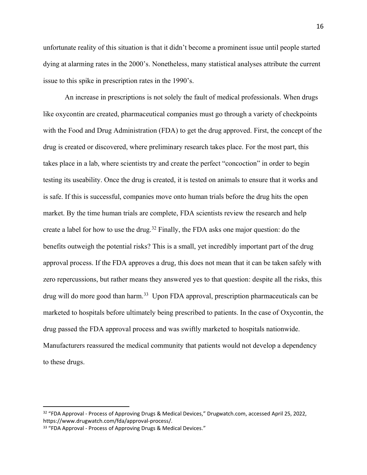unfortunate reality of this situation is that it didn't become a prominent issue until people started dying at alarming rates in the 2000's. Nonetheless, many statistical analyses attribute the current issue to this spike in prescription rates in the 1990's.

An increase in prescriptions is not solely the fault of medical professionals. When drugs like oxycontin are created, pharmaceutical companies must go through a variety of checkpoints with the Food and Drug Administration (FDA) to get the drug approved. First, the concept of the drug is created or discovered, where preliminary research takes place. For the most part, this takes place in a lab, where scientists try and create the perfect "concoction" in order to begin testing its useability. Once the drug is created, it is tested on animals to ensure that it works and is safe. If this is successful, companies move onto human trials before the drug hits the open market. By the time human trials are complete, FDA scientists review the research and help create a label for how to use the drug.<sup>32</sup> Finally, the FDA asks one major question: do the benefits outweigh the potential risks? This is a small, yet incredibly important part of the drug approval process. If the FDA approves a drug, this does not mean that it can be taken safely with zero repercussions, but rather means they answered yes to that question: despite all the risks, this drug will do more good than harm.<sup>33</sup> Upon FDA approval, prescription pharmaceuticals can be marketed to hospitals before ultimately being prescribed to patients. In the case of Oxycontin, the drug passed the FDA approval process and was swiftly marketed to hospitals nationwide. Manufacturers reassured the medical community that patients would not develop a dependency to these drugs.

<sup>&</sup>lt;sup>32</sup> "FDA Approval - Process of Approving Drugs & Medical Devices," Drugwatch.com, accessed April 25, 2022, https://www.drugwatch.com/fda/approval-process/.

<sup>33 &</sup>quot;FDA Approval - Process of Approving Drugs & Medical Devices."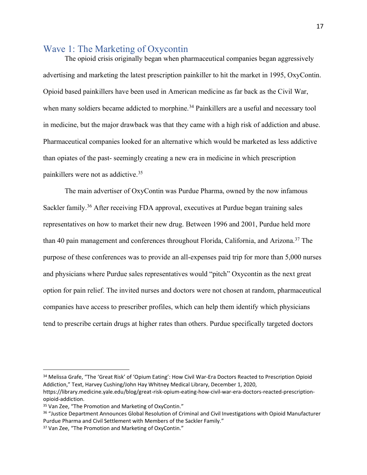### <span id="page-17-0"></span>Wave 1: The Marketing of Oxycontin

The opioid crisis originally began when pharmaceutical companies began aggressively advertising and marketing the latest prescription painkiller to hit the market in 1995, OxyContin. Opioid based painkillers have been used in American medicine as far back as the Civil War, when many soldiers became addicted to morphine.<sup>34</sup> Painkillers are a useful and necessary tool in medicine, but the major drawback was that they came with a high risk of addiction and abuse. Pharmaceutical companies looked for an alternative which would be marketed as less addictive than opiates of the past- seemingly creating a new era in medicine in which prescription painkillers were not as addictive. 35

The main advertiser of OxyContin was Purdue Pharma, owned by the now infamous Sackler family.<sup>36</sup> After receiving FDA approval, executives at Purdue began training sales representatives on how to market their new drug. Between 1996 and 2001, Purdue held more than 40 pain management and conferences throughout Florida, California, and Arizona.<sup>37</sup> The purpose of these conferences was to provide an all-expenses paid trip for more than 5,000 nurses and physicians where Purdue sales representatives would "pitch" Oxycontin as the next great option for pain relief. The invited nurses and doctors were not chosen at random, pharmaceutical companies have access to prescriber profiles, which can help them identify which physicians tend to prescribe certain drugs at higher rates than others. Purdue specifically targeted doctors

<sup>34</sup> Melissa Grafe, "The 'Great Risk' of 'Opium Eating': How Civil War-Era Doctors Reacted to Prescription Opioid Addiction," Text, Harvey Cushing/John Hay Whitney Medical Library, December 1, 2020, https://library.medicine.yale.edu/blog/great-risk-opium-eating-how-civil-war-era-doctors-reacted-prescriptionopioid-addiction.

<sup>&</sup>lt;sup>35</sup> Van Zee, "The Promotion and Marketing of OxyContin."

<sup>&</sup>lt;sup>36</sup> "Justice Department Announces Global Resolution of Criminal and Civil Investigations with Opioid Manufacturer Purdue Pharma and Civil Settlement with Members of the Sackler Family."

<sup>37</sup> Van Zee, "The Promotion and Marketing of OxyContin."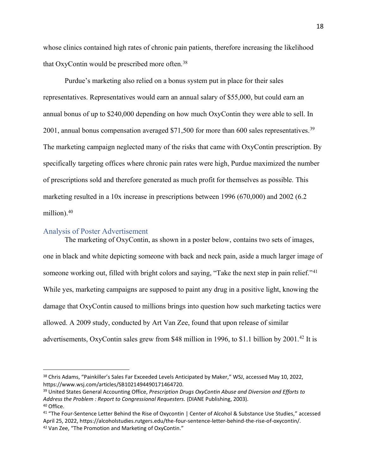whose clinics contained high rates of chronic pain patients, therefore increasing the likelihood that OxyContin would be prescribed more often.<sup>38</sup>

Purdue's marketing also relied on a bonus system put in place for their sales representatives. Representatives would earn an annual salary of \$55,000, but could earn an annual bonus of up to \$240,000 depending on how much OxyContin they were able to sell. In 2001, annual bonus compensation averaged  $$71,500$  for more than 600 sales representatives.<sup>39</sup> The marketing campaign neglected many of the risks that came with OxyContin prescription. By specifically targeting offices where chronic pain rates were high, Purdue maximized the number of prescriptions sold and therefore generated as much profit for themselves as possible. This marketing resulted in a 10x increase in prescriptions between 1996 (670,000) and 2002 (6.2 million).<sup>40</sup>

#### <span id="page-18-0"></span>Analysis of Poster Advertisement

The marketing of OxyContin, as shown in a poster below, contains two sets of images, one in black and white depicting someone with back and neck pain, aside a much larger image of someone working out, filled with bright colors and saying, "Take the next step in pain relief."<sup>41</sup> While yes, marketing campaigns are supposed to paint any drug in a positive light, knowing the damage that OxyContin caused to millions brings into question how such marketing tactics were allowed. A 2009 study, conducted by Art Van Zee, found that upon release of similar advertisements, OxyContin sales grew from \$48 million in 1996, to \$1.1 billion by 2001.<sup>42</sup> It is

<sup>&</sup>lt;sup>38</sup> Chris Adams, "Painkiller's Sales Far Exceeded Levels Anticipated by Maker," WSJ, accessed May 10, 2022, https://www.wsj.com/articles/SB1021494490171464720.

<sup>39</sup> United States General Accounting Office, *Prescription Drugs OxyContin Abuse and Diversion and Efforts to Address the Problem : Report to Congressional Requesters.* (DIANE Publishing, 2003). <sup>40</sup> Office.

<sup>41</sup> "The Four-Sentence Letter Behind the Rise of Oxycontin | Center of Alcohol & Substance Use Studies," accessed April 25, 2022, https://alcoholstudies.rutgers.edu/the-four-sentence-letter-behind-the-rise-of-oxycontin/. <sup>42</sup> Van Zee, "The Promotion and Marketing of OxyContin."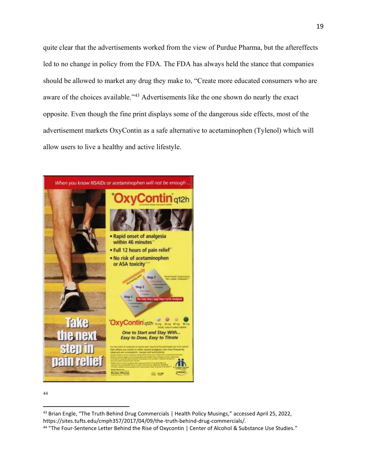quite clear that the advertisements worked from the view of Purdue Pharma, but the aftereffects led to no change in policy from the FDA. The FDA has always held the stance that companies should be allowed to market any drug they make to, "Create more educated consumers who are aware of the choices available."<sup>43</sup> Advertisements like the one shown do nearly the exact opposite. Even though the fine print displays some of the dangerous side effects, most of the advertisement markets OxyContin as a safe alternative to acetaminophen (Tylenol) which will allow users to live a healthy and active lifestyle.



44

<sup>&</sup>lt;sup>43</sup> Brian Engle, "The Truth Behind Drug Commercials | Health Policy Musings," accessed April 25, 2022, https://sites.tufts.edu/cmph357/2017/04/09/the-truth-behind-drug-commercials/.

<sup>44</sup> "The Four-Sentence Letter Behind the Rise of Oxycontin | Center of Alcohol & Substance Use Studies."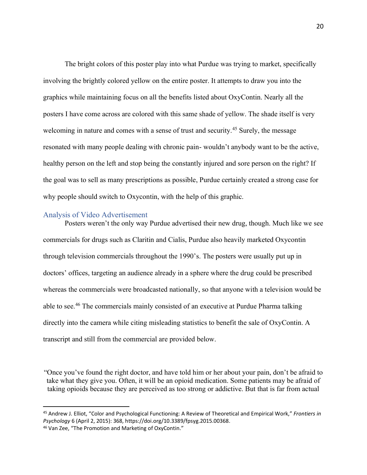The bright colors of this poster play into what Purdue was trying to market, specifically involving the brightly colored yellow on the entire poster. It attempts to draw you into the graphics while maintaining focus on all the benefits listed about OxyContin. Nearly all the posters I have come across are colored with this same shade of yellow. The shade itself is very welcoming in nature and comes with a sense of trust and security.<sup>45</sup> Surely, the message resonated with many people dealing with chronic pain- wouldn't anybody want to be the active, healthy person on the left and stop being the constantly injured and sore person on the right? If the goal was to sell as many prescriptions as possible, Purdue certainly created a strong case for why people should switch to Oxycontin, with the help of this graphic.

#### <span id="page-20-0"></span>Analysis of Video Advertisement

Posters weren't the only way Purdue advertised their new drug, though. Much like we see commercials for drugs such as Claritin and Cialis, Purdue also heavily marketed Oxycontin through television commercials throughout the 1990's. The posters were usually put up in doctors' offices, targeting an audience already in a sphere where the drug could be prescribed whereas the commercials were broadcasted nationally, so that anyone with a television would be able to see.<sup>46</sup> The commercials mainly consisted of an executive at Purdue Pharma talking directly into the camera while citing misleading statistics to benefit the sale of OxyContin. A transcript and still from the commercial are provided below.

"Once you've found the right doctor, and have told him or her about your pain, don't be afraid to take what they give you. Often, it will be an opioid medication. Some patients may be afraid of taking opioids because they are perceived as too strong or addictive. But that is far from actual

<sup>45</sup> Andrew J. Elliot, "Color and Psychological Functioning: A Review of Theoretical and Empirical Work," *Frontiers in Psychology* 6 (April 2, 2015): 368, https://doi.org/10.3389/fpsyg.2015.00368.

<sup>46</sup> Van Zee, "The Promotion and Marketing of OxyContin."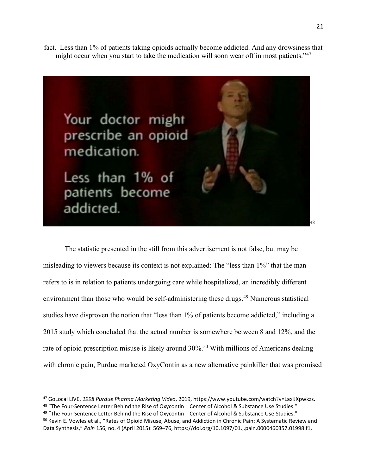fact. Less than 1% of patients taking opioids actually become addicted. And any drowsiness that might occur when you start to take the medication will soon wear off in most patients."<sup>47</sup>



The statistic presented in the still from this advertisement is not false, but may be misleading to viewers because its context is not explained: The "less than 1%" that the man refers to is in relation to patients undergoing care while hospitalized, an incredibly different environment than those who would be self-administering these drugs.<sup>49</sup> Numerous statistical studies have disproven the notion that "less than 1% of patients become addicted," including a 2015 study which concluded that the actual number is somewhere between 8 and 12%, and the rate of opioid prescription misuse is likely around 30%.<sup>50</sup> With millions of Americans dealing with chronic pain, Purdue marketed OxyContin as a new alternative painkiller that was promised

<sup>47</sup> GoLocal LIVE, *1998 Purdue Pharma Marketing Video*, 2019, https://www.youtube.com/watch?v=LaxlJXpwkzs.

<sup>48</sup> "The Four-Sentence Letter Behind the Rise of Oxycontin | Center of Alcohol & Substance Use Studies."

<sup>49</sup> "The Four-Sentence Letter Behind the Rise of Oxycontin | Center of Alcohol & Substance Use Studies." <sup>50</sup> Kevin E. Vowles et al., "Rates of Opioid Misuse, Abuse, and Addiction in Chronic Pain: A Systematic Review and

Data Synthesis," *Pain* 156, no. 4 (April 2015): 569–76, https://doi.org/10.1097/01.j.pain.0000460357.01998.f1.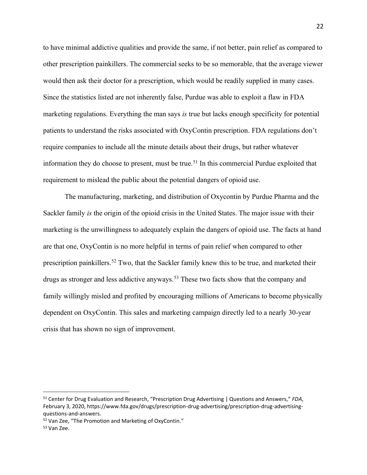to have minimal addictive qualities and provide the same, if not better, pain relief as compared to other prescription painkillers. The commercial seeks to be so memorable, that the average viewer would then ask their doctor for a prescription, which would be readily supplied in many cases. Since the statistics listed are not inherently false, Purdue was able to exploit a flaw in FDA marketing regulations. Everything the man says *is* true but lacks enough specificity for potential patients to understand the risks associated with OxyContin prescription. FDA regulations don't require companies to include all the minute details about their drugs, but rather whatever information they do choose to present, must be true.<sup>51</sup> In this commercial Purdue exploited that requirement to mislead the public about the potential dangers of opioid use.

The manufacturing, marketing, and distribution of Oxycontin by Purdue Pharma and the Sackler family *is* the origin of the opioid crisis in the United States. The major issue with their marketing is the unwillingness to adequately explain the dangers of opioid use. The facts at hand are that one, OxyContin is no more helpful in terms of pain relief when compared to other prescription painkillers.<sup>52</sup> Two, that the Sackler family knew this to be true, and marketed their drugs as stronger and less addictive anyways.<sup>53</sup> These two facts show that the company and family willingly misled and profited by encouraging millions of Americans to become physically dependent on OxyContin. This sales and marketing campaign directly led to a nearly 30-year crisis that has shown no sign of improvement.

<sup>51</sup> Center for Drug Evaluation and Research, "Prescription Drug Advertising | Questions and Answers," *FDA*, February 3, 2020, https://www.fda.gov/drugs/prescription-drug-advertising/prescription-drug-advertisingquestions-and-answers.

<sup>&</sup>lt;sup>52</sup> Van Zee, "The Promotion and Marketing of OxyContin."

<sup>53</sup> Van Zee.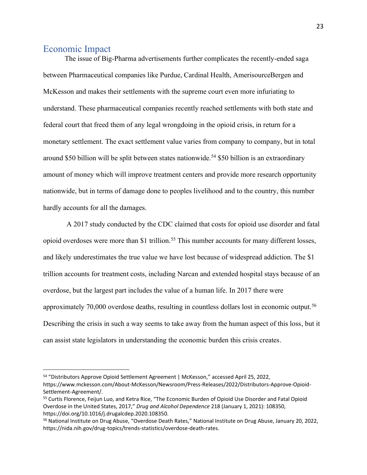### <span id="page-23-0"></span>Economic Impact

The issue of Big-Pharma advertisements further complicates the recently-ended saga between Pharmaceutical companies like Purdue, Cardinal Health, AmerisourceBergen and McKesson and makes their settlements with the supreme court even more infuriating to understand. These pharmaceutical companies recently reached settlements with both state and federal court that freed them of any legal wrongdoing in the opioid crisis, in return for a monetary settlement. The exact settlement value varies from company to company, but in total around \$50 billion will be split between states nationwide.<sup>54</sup> \$50 billion is an extraordinary amount of money which will improve treatment centers and provide more research opportunity nationwide, but in terms of damage done to peoples livelihood and to the country, this number hardly accounts for all the damages.

A 2017 study conducted by the CDC claimed that costs for opioid use disorder and fatal opioid overdoses were more than \$1 trillion. <sup>55</sup> This number accounts for many different losses, and likely underestimates the true value we have lost because of widespread addiction. The \$1 trillion accounts for treatment costs, including Narcan and extended hospital stays because of an overdose, but the largest part includes the value of a human life. In 2017 there were approximately 70,000 overdose deaths, resulting in countless dollars lost in economic output.<sup>56</sup> Describing the crisis in such a way seems to take away from the human aspect of this loss, but it can assist state legislators in understanding the economic burden this crisis creates.

<sup>54</sup> "Distributors Approve Opioid Settlement Agreement | McKesson," accessed April 25, 2022, https://www.mckesson.com/About-McKesson/Newsroom/Press-Releases/2022/Distributors-Approve-Opioid-Settlement-Agreement/.

<sup>55</sup> Curtis Florence, Feijun Luo, and Ketra Rice, "The Economic Burden of Opioid Use Disorder and Fatal Opioid Overdose in the United States, 2017," *Drug and Alcohol Dependence* 218 (January 1, 2021): 108350, https://doi.org/10.1016/j.drugalcdep.2020.108350.

<sup>56</sup> National Institute on Drug Abuse, "Overdose Death Rates," National Institute on Drug Abuse, January 20, 2022, https://nida.nih.gov/drug-topics/trends-statistics/overdose-death-rates.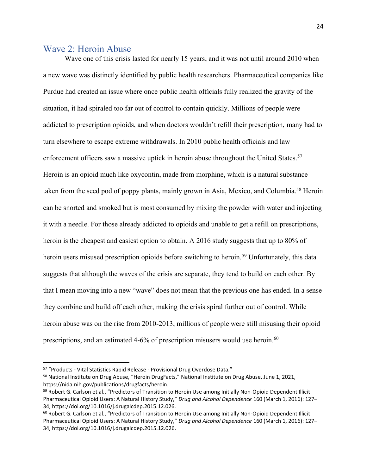### <span id="page-24-0"></span>Wave 2: Heroin Abuse

Wave one of this crisis lasted for nearly 15 years, and it was not until around 2010 when a new wave was distinctly identified by public health researchers. Pharmaceutical companies like Purdue had created an issue where once public health officials fully realized the gravity of the situation, it had spiraled too far out of control to contain quickly. Millions of people were addicted to prescription opioids, and when doctors wouldn't refill their prescription, many had to turn elsewhere to escape extreme withdrawals. In 2010 public health officials and law enforcement officers saw a massive uptick in heroin abuse throughout the United States.<sup>57</sup> Heroin is an opioid much like oxycontin, made from morphine, which is a natural substance taken from the seed pod of poppy plants, mainly grown in Asia, Mexico, and Columbia.<sup>58</sup> Heroin can be snorted and smoked but is most consumed by mixing the powder with water and injecting it with a needle. For those already addicted to opioids and unable to get a refill on prescriptions, heroin is the cheapest and easiest option to obtain. A 2016 study suggests that up to 80% of heroin users misused prescription opioids before switching to heroin.<sup>59</sup> Unfortunately, this data suggests that although the waves of the crisis are separate, they tend to build on each other. By that I mean moving into a new "wave" does not mean that the previous one has ended. In a sense they combine and build off each other, making the crisis spiral further out of control. While heroin abuse was on the rise from 2010-2013, millions of people were still misusing their opioid prescriptions, and an estimated 4-6% of prescription misusers would use heroin.<sup>60</sup>

<sup>57</sup> "Products - Vital Statistics Rapid Release - Provisional Drug Overdose Data."

<sup>&</sup>lt;sup>58</sup> National Institute on Drug Abuse, "Heroin DrugFacts," National Institute on Drug Abuse, June 1, 2021, https://nida.nih.gov/publications/drugfacts/heroin.

<sup>59</sup> Robert G. Carlson et al., "Predictors of Transition to Heroin Use among Initially Non-Opioid Dependent Illicit Pharmaceutical Opioid Users: A Natural History Study," *Drug and Alcohol Dependence* 160 (March 1, 2016): 127– 34, https://doi.org/10.1016/j.drugalcdep.2015.12.026.

<sup>&</sup>lt;sup>60</sup> Robert G. Carlson et al., "Predictors of Transition to Heroin Use among Initially Non-Opioid Dependent Illicit Pharmaceutical Opioid Users: A Natural History Study," *Drug and Alcohol Dependence* 160 (March 1, 2016): 127– 34, https://doi.org/10.1016/j.drugalcdep.2015.12.026.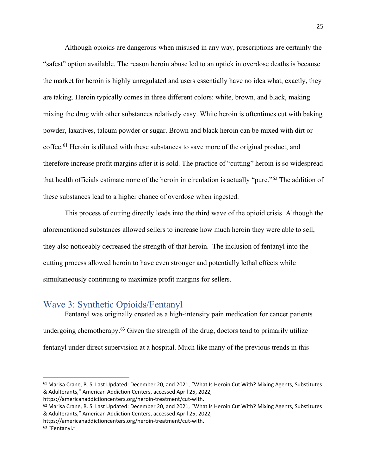Although opioids are dangerous when misused in any way, prescriptions are certainly the "safest" option available. The reason heroin abuse led to an uptick in overdose deaths is because the market for heroin is highly unregulated and users essentially have no idea what, exactly, they are taking. Heroin typically comes in three different colors: white, brown, and black, making mixing the drug with other substances relatively easy. White heroin is oftentimes cut with baking powder, laxatives, talcum powder or sugar. Brown and black heroin can be mixed with dirt or coffee.<sup>61</sup> Heroin is diluted with these substances to save more of the original product, and therefore increase profit margins after it is sold. The practice of "cutting" heroin is so widespread that health officials estimate none of the heroin in circulation is actually "pure."<sup>62</sup> The addition of these substances lead to a higher chance of overdose when ingested.

This process of cutting directly leads into the third wave of the opioid crisis. Although the aforementioned substances allowed sellers to increase how much heroin they were able to sell, they also noticeably decreased the strength of that heroin. The inclusion of fentanyl into the cutting process allowed heroin to have even stronger and potentially lethal effects while simultaneously continuing to maximize profit margins for sellers.

## <span id="page-25-0"></span>Wave 3: Synthetic Opioids/Fentanyl

Fentanyl was originally created as a high-intensity pain medication for cancer patients undergoing chemotherapy. $63$  Given the strength of the drug, doctors tend to primarily utilize fentanyl under direct supervision at a hospital. Much like many of the previous trends in this

<sup>61</sup> Marisa Crane, B. S. Last Updated: December 20, and 2021, "What Is Heroin Cut With? Mixing Agents, Substitutes & Adulterants," American Addiction Centers, accessed April 25, 2022,

https://americanaddictioncenters.org/heroin-treatment/cut-with.

<sup>&</sup>lt;sup>62</sup> Marisa Crane, B. S. Last Updated: December 20, and 2021, "What Is Heroin Cut With? Mixing Agents, Substitutes & Adulterants," American Addiction Centers, accessed April 25, 2022,

https://americanaddictioncenters.org/heroin-treatment/cut-with.

<sup>63</sup> "Fentanyl."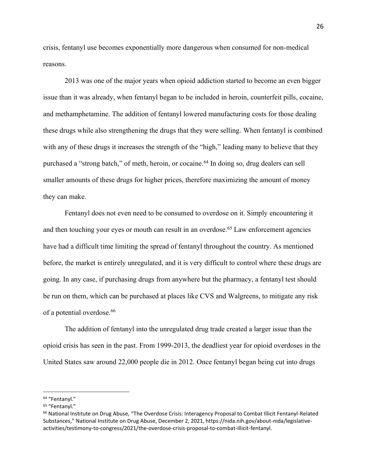crisis, fentanyl use becomes exponentially more dangerous when consumed for non-medical reasons.

2013 was one of the major years when opioid addiction started to become an even bigger issue than it was already, when fentanyl began to be included in heroin, counterfeit pills, cocaine, and methamphetamine. The addition of fentanyl lowered manufacturing costs for those dealing these drugs while also strengthening the drugs that they were selling. When fentanyl is combined with any of these drugs it increases the strength of the "high," leading many to believe that they purchased a "strong batch," of meth, heroin, or cocaine.<sup>64</sup> In doing so, drug dealers can sell smaller amounts of these drugs for higher prices, therefore maximizing the amount of money they can make.

Fentanyl does not even need to be consumed to overdose on it. Simply encountering it and then touching your eyes or mouth can result in an overdose.<sup>65</sup> Law enforcement agencies have had a difficult time limiting the spread of fentanyl throughout the country. As mentioned before, the market is entirely unregulated, and it is very difficult to control where these drugs are going. In any case, if purchasing drugs from anywhere but the pharmacy, a fentanyl test should be run on them, which can be purchased at places like CVS and Walgreens, to mitigate any risk of a potential overdose.<sup>66</sup>

The addition of fentanyl into the unregulated drug trade created a larger issue than the opioid crisis has seen in the past. From 1999-2013, the deadliest year for opioid overdoses in the United States saw around 22,000 people die in 2012. Once fentanyl began being cut into drugs

<sup>&</sup>lt;sup>64</sup> "Fentanyl."

<sup>65</sup> "Fentanyl."

<sup>66</sup> National Institute on Drug Abuse, "The Overdose Crisis: Interagency Proposal to Combat Illicit Fentanyl-Related Substances," National Institute on Drug Abuse, December 2, 2021, https://nida.nih.gov/about-nida/legislativeactivities/testimony-to-congress/2021/the-overdose-crisis-proposal-to-combat-illicit-fentanyl.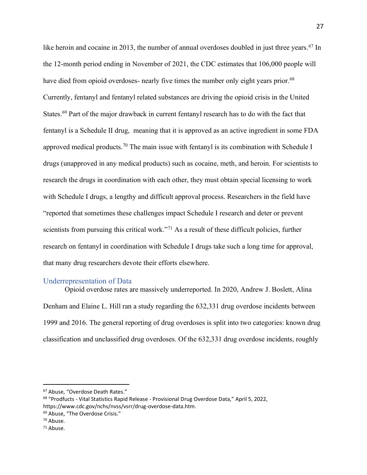like heroin and cocaine in 2013, the number of annual overdoses doubled in just three years.<sup>67</sup> In the 12-month period ending in November of 2021, the CDC estimates that 106,000 people will have died from opioid overdoses- nearly five times the number only eight years prior.<sup>68</sup> Currently, fentanyl and fentanyl related substances are driving the opioid crisis in the United States.<sup>69</sup> Part of the major drawback in current fentanyl research has to do with the fact that fentanyl is a Schedule II drug, meaning that it is approved as an active ingredient in some FDA approved medical products.<sup>70</sup> The main issue with fentanyl is its combination with Schedule I drugs (unapproved in any medical products) such as cocaine, meth, and heroin. For scientists to research the drugs in coordination with each other, they must obtain special licensing to work with Schedule I drugs, a lengthy and difficult approval process. Researchers in the field have "reported that sometimes these challenges impact Schedule I research and deter or prevent scientists from pursuing this critical work."<sup>71</sup> As a result of these difficult policies, further research on fentanyl in coordination with Schedule I drugs take such a long time for approval, that many drug researchers devote their efforts elsewhere.

#### <span id="page-27-0"></span>Underrepresentation of Data

Opioid overdose rates are massively underreported. In 2020, Andrew J. Boslett, Alina Denham and Elaine L. Hill ran a study regarding the 632,331 drug overdose incidents between 1999 and 2016. The general reporting of drug overdoses is split into two categories: known drug classification and unclassified drug overdoses. Of the 632,331 drug overdose incidents, roughly

<sup>67</sup> Abuse, "Overdose Death Rates."

<sup>68</sup> "Prodfucts - Vital Statistics Rapid Release - Provisional Drug Overdose Data," April 5, 2022, https://www.cdc.gov/nchs/nvss/vsrr/drug-overdose-data.htm.

<sup>69</sup> Abuse, "The Overdose Crisis."

<sup>70</sup> Abuse.

<sup>71</sup> Abuse.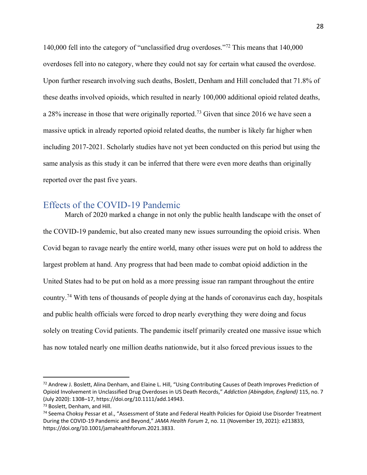140,000 fell into the category of "unclassified drug overdoses."<sup>72</sup> This means that 140,000 overdoses fell into no category, where they could not say for certain what caused the overdose. Upon further research involving such deaths, Boslett, Denham and Hill concluded that 71.8% of these deaths involved opioids, which resulted in nearly 100,000 additional opioid related deaths, a 28% increase in those that were originally reported.<sup>73</sup> Given that since 2016 we have seen a massive uptick in already reported opioid related deaths, the number is likely far higher when including 2017-2021. Scholarly studies have not yet been conducted on this period but using the same analysis as this study it can be inferred that there were even more deaths than originally reported over the past five years.

## <span id="page-28-0"></span>Effects of the COVID-19 Pandemic

March of 2020 marked a change in not only the public health landscape with the onset of the COVID-19 pandemic, but also created many new issues surrounding the opioid crisis. When Covid began to ravage nearly the entire world, many other issues were put on hold to address the largest problem at hand. Any progress that had been made to combat opioid addiction in the United States had to be put on hold as a more pressing issue ran rampant throughout the entire country.<sup>74</sup> With tens of thousands of people dying at the hands of coronavirus each day, hospitals and public health officials were forced to drop nearly everything they were doing and focus solely on treating Covid patients. The pandemic itself primarily created one massive issue which has now totaled nearly one million deaths nationwide, but it also forced previous issues to the

<sup>72</sup> Andrew J. Boslett, Alina Denham, and Elaine L. Hill, "Using Contributing Causes of Death Improves Prediction of Opioid Involvement in Unclassified Drug Overdoses in US Death Records," *Addiction (Abingdon, England)* 115, no. 7 (July 2020): 1308–17, https://doi.org/10.1111/add.14943.

<sup>73</sup> Boslett, Denham, and Hill.

<sup>74</sup> Seema Choksy Pessar et al., "Assessment of State and Federal Health Policies for Opioid Use Disorder Treatment During the COVID-19 Pandemic and Beyond," *JAMA Health Forum* 2, no. 11 (November 19, 2021): e213833, https://doi.org/10.1001/jamahealthforum.2021.3833.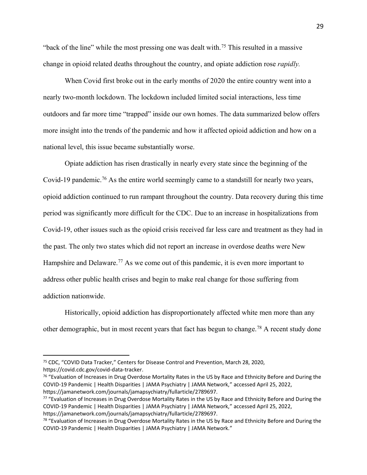"back of the line" while the most pressing one was dealt with.<sup>75</sup> This resulted in a massive change in opioid related deaths throughout the country, and opiate addiction rose *rapidly.*

When Covid first broke out in the early months of 2020 the entire country went into a nearly two-month lockdown. The lockdown included limited social interactions, less time outdoors and far more time "trapped" inside our own homes. The data summarized below offers more insight into the trends of the pandemic and how it affected opioid addiction and how on a national level, this issue became substantially worse.

Opiate addiction has risen drastically in nearly every state since the beginning of the Covid-19 pandemic.<sup>76</sup> As the entire world seemingly came to a standstill for nearly two years, opioid addiction continued to run rampant throughout the country. Data recovery during this time period was significantly more difficult for the CDC. Due to an increase in hospitalizations from Covid-19, other issues such as the opioid crisis received far less care and treatment as they had in the past. The only two states which did not report an increase in overdose deaths were New Hampshire and Delaware.<sup>77</sup> As we come out of this pandemic, it is even more important to address other public health crises and begin to make real change for those suffering from addiction nationwide.

Historically, opioid addiction has disproportionately affected white men more than any other demographic, but in most recent years that fact has begun to change.<sup>78</sup> A recent study done

<sup>75</sup> CDC, "COVID Data Tracker," Centers for Disease Control and Prevention, March 28, 2020, https://covid.cdc.gov/covid-data-tracker.

<sup>&</sup>lt;sup>76</sup> "Evaluation of Increases in Drug Overdose Mortality Rates in the US by Race and Ethnicity Before and During the COVID-19 Pandemic | Health Disparities | JAMA Psychiatry | JAMA Network," accessed April 25, 2022, https://jamanetwork.com/journals/jamapsychiatry/fullarticle/2789697.

<sup>77 &</sup>quot;Evaluation of Increases in Drug Overdose Mortality Rates in the US by Race and Ethnicity Before and During the COVID-19 Pandemic | Health Disparities | JAMA Psychiatry | JAMA Network," accessed April 25, 2022, https://jamanetwork.com/journals/jamapsychiatry/fullarticle/2789697.

<sup>&</sup>lt;sup>78</sup> "Evaluation of Increases in Drug Overdose Mortality Rates in the US by Race and Ethnicity Before and During the COVID-19 Pandemic | Health Disparities | JAMA Psychiatry | JAMA Network."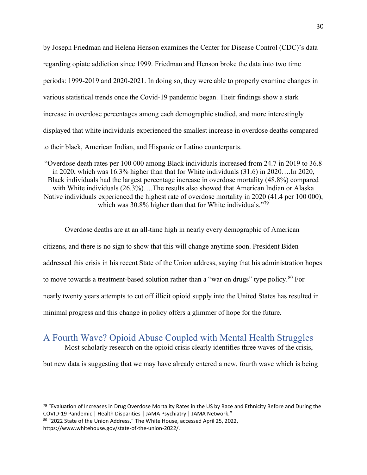by Joseph Friedman and Helena Henson examines the Center for Disease Control (CDC)'s data regarding opiate addiction since 1999. Friedman and Henson broke the data into two time periods: 1999-2019 and 2020-2021. In doing so, they were able to properly examine changes in various statistical trends once the Covid-19 pandemic began. Their findings show a stark increase in overdose percentages among each demographic studied, and more interestingly displayed that white individuals experienced the smallest increase in overdose deaths compared to their black, American Indian, and Hispanic or Latino counterparts.

"Overdose death rates per 100 000 among Black individuals increased from 24.7 in 2019 to 36.8 in 2020, which was 16.3% higher than that for White individuals (31.6) in 2020….In 2020, Black individuals had the largest percentage increase in overdose mortality (48.8%) compared with White individuals (26.3%)....The results also showed that American Indian or Alaska Native individuals experienced the highest rate of overdose mortality in 2020 (41.4 per 100 000), which was 30.8% higher than that for White individuals."<sup>79</sup>

Overdose deaths are at an all-time high in nearly every demographic of American citizens, and there is no sign to show that this will change anytime soon. President Biden addressed this crisis in his recent State of the Union address, saying that his administration hopes to move towards a treatment-based solution rather than a "war on drugs" type policy.<sup>80</sup> For nearly twenty years attempts to cut off illicit opioid supply into the United States has resulted in minimal progress and this change in policy offers a glimmer of hope for the future.

# <span id="page-30-0"></span>A Fourth Wave? Opioid Abuse Coupled with Mental Health Struggles

Most scholarly research on the opioid crisis clearly identifies three waves of the crisis,

but new data is suggesting that we may have already entered a new, fourth wave which is being

<sup>80</sup> "2022 State of the Union Address," The White House, accessed April 25, 2022,

<sup>&</sup>lt;sup>79</sup> "Evaluation of Increases in Drug Overdose Mortality Rates in the US by Race and Ethnicity Before and During the COVID-19 Pandemic | Health Disparities | JAMA Psychiatry | JAMA Network."

https://www.whitehouse.gov/state-of-the-union-2022/.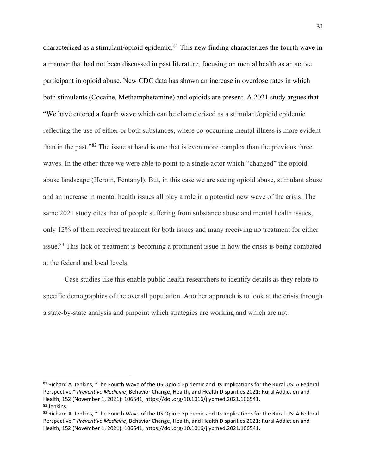characterized as a stimulant/opioid epidemic.<sup>81</sup> This new finding characterizes the fourth wave in a manner that had not been discussed in past literature, focusing on mental health as an active participant in opioid abuse. New CDC data has shown an increase in overdose rates in which both stimulants (Cocaine, Methamphetamine) and opioids are present. A 2021 study argues that "We have entered a fourth wave which can be characterized as a stimulant/opioid epidemic reflecting the use of either or both substances, where co-occurring mental illness is more evident than in the past."<sup>82</sup> The issue at hand is one that is even more complex than the previous three waves. In the other three we were able to point to a single actor which "changed" the opioid abuse landscape (Heroin, Fentanyl). But, in this case we are seeing opioid abuse, stimulant abuse and an increase in mental health issues all play a role in a potential new wave of the crisis. The same 2021 study cites that of people suffering from substance abuse and mental health issues, only 12% of them received treatment for both issues and many receiving no treatment for either issue.<sup>83</sup> This lack of treatment is becoming a prominent issue in how the crisis is being combated at the federal and local levels.

Case studies like this enable public health researchers to identify details as they relate to specific demographics of the overall population. Another approach is to look at the crisis through a state-by-state analysis and pinpoint which strategies are working and which are not.

<sup>81</sup> Richard A. Jenkins, "The Fourth Wave of the US Opioid Epidemic and Its Implications for the Rural US: A Federal Perspective," *Preventive Medicine*, Behavior Change, Health, and Health Disparities 2021: Rural Addiction and Health, 152 (November 1, 2021): 106541, https://doi.org/10.1016/j.ypmed.2021.106541. <sup>82</sup> Jenkins.

<sup>83</sup> Richard A. Jenkins, "The Fourth Wave of the US Opioid Epidemic and Its Implications for the Rural US: A Federal Perspective," *Preventive Medicine*, Behavior Change, Health, and Health Disparities 2021: Rural Addiction and Health, 152 (November 1, 2021): 106541, https://doi.org/10.1016/j.ypmed.2021.106541.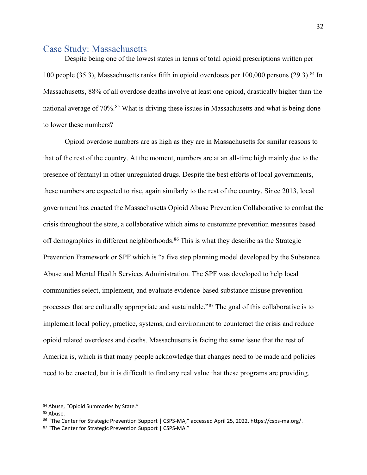### <span id="page-32-0"></span>Case Study: Massachusetts

Despite being one of the lowest states in terms of total opioid prescriptions written per 100 people (35.3), Massachusetts ranks fifth in opioid overdoses per 100,000 persons (29.3).<sup>84</sup> In Massachusetts, 88% of all overdose deaths involve at least one opioid, drastically higher than the national average of 70%.<sup>85</sup> What is driving these issues in Massachusetts and what is being done to lower these numbers?

Opioid overdose numbers are as high as they are in Massachusetts for similar reasons to that of the rest of the country. At the moment, numbers are at an all-time high mainly due to the presence of fentanyl in other unregulated drugs. Despite the best efforts of local governments, these numbers are expected to rise, again similarly to the rest of the country. Since 2013, local government has enacted the Massachusetts Opioid Abuse Prevention Collaborative to combat the crisis throughout the state, a collaborative which aims to customize prevention measures based off demographics in different neighborhoods.<sup>86</sup> This is what they describe as the Strategic Prevention Framework or SPF which is "a five step planning model developed by the Substance Abuse and Mental Health Services Administration. The SPF was developed to help local communities select, implement, and evaluate evidence-based substance misuse prevention processes that are culturally appropriate and sustainable."<sup>87</sup> The goal of this collaborative is to implement local policy, practice, systems, and environment to counteract the crisis and reduce opioid related overdoses and deaths. Massachusetts is facing the same issue that the rest of America is, which is that many people acknowledge that changes need to be made and policies need to be enacted, but it is difficult to find any real value that these programs are providing.

<sup>84</sup> Abuse, "Opioid Summaries by State."

<sup>85</sup> Abuse.

<sup>86</sup> "The Center for Strategic Prevention Support | CSPS-MA," accessed April 25, 2022, https://csps-ma.org/.

<sup>87 &</sup>quot;The Center for Strategic Prevention Support | CSPS-MA."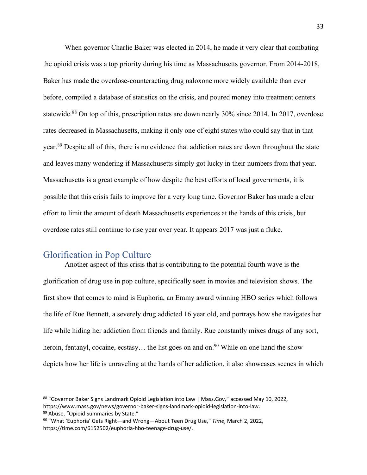When governor Charlie Baker was elected in 2014, he made it very clear that combating the opioid crisis was a top priority during his time as Massachusetts governor. From 2014-2018, Baker has made the overdose-counteracting drug naloxone more widely available than ever before, compiled a database of statistics on the crisis, and poured money into treatment centers statewide.<sup>88</sup> On top of this, prescription rates are down nearly 30% since 2014. In 2017, overdose rates decreased in Massachusetts, making it only one of eight states who could say that in that year.<sup>89</sup> Despite all of this, there is no evidence that addiction rates are down throughout the state and leaves many wondering if Massachusetts simply got lucky in their numbers from that year. Massachusetts is a great example of how despite the best efforts of local governments, it is possible that this crisis fails to improve for a very long time. Governor Baker has made a clear effort to limit the amount of death Massachusetts experiences at the hands of this crisis, but overdose rates still continue to rise year over year. It appears 2017 was just a fluke.

## <span id="page-33-0"></span>Glorification in Pop Culture

Another aspect of this crisis that is contributing to the potential fourth wave is the glorification of drug use in pop culture, specifically seen in movies and television shows. The first show that comes to mind is Euphoria, an Emmy award winning HBO series which follows the life of Rue Bennett, a severely drug addicted 16 year old, and portrays how she navigates her life while hiding her addiction from friends and family. Rue constantly mixes drugs of any sort, heroin, fentanyl, cocaine, ecstasy... the list goes on and on.<sup>90</sup> While on one hand the show depicts how her life is unraveling at the hands of her addiction, it also showcases scenes in which

<sup>88 &</sup>quot;Governor Baker Signs Landmark Opioid Legislation into Law | Mass.Gov," accessed May 10, 2022, https://www.mass.gov/news/governor-baker-signs-landmark-opioid-legislation-into-law. <sup>89</sup> Abuse, "Opioid Summaries by State."

<sup>90</sup> "What 'Euphoria' Gets Right—and Wrong—About Teen Drug Use," *Time*, March 2, 2022, https://time.com/6152502/euphoria-hbo-teenage-drug-use/.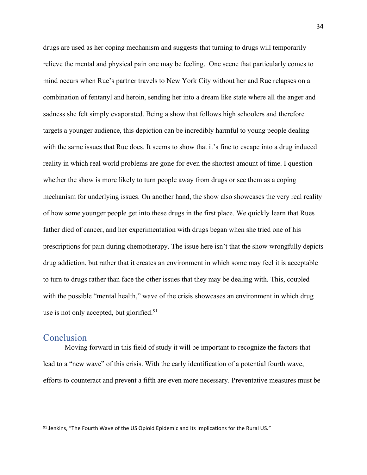drugs are used as her coping mechanism and suggests that turning to drugs will temporarily relieve the mental and physical pain one may be feeling. One scene that particularly comes to mind occurs when Rue's partner travels to New York City without her and Rue relapses on a combination of fentanyl and heroin, sending her into a dream like state where all the anger and sadness she felt simply evaporated. Being a show that follows high schoolers and therefore targets a younger audience, this depiction can be incredibly harmful to young people dealing with the same issues that Rue does. It seems to show that it's fine to escape into a drug induced reality in which real world problems are gone for even the shortest amount of time. I question whether the show is more likely to turn people away from drugs or see them as a coping mechanism for underlying issues. On another hand, the show also showcases the very real reality of how some younger people get into these drugs in the first place. We quickly learn that Rues father died of cancer, and her experimentation with drugs began when she tried one of his prescriptions for pain during chemotherapy. The issue here isn't that the show wrongfully depicts drug addiction, but rather that it creates an environment in which some may feel it is acceptable to turn to drugs rather than face the other issues that they may be dealing with. This, coupled with the possible "mental health," wave of the crisis showcases an environment in which drug use is not only accepted, but glorified.<sup>91</sup>

#### <span id="page-34-0"></span>Conclusion

Moving forward in this field of study it will be important to recognize the factors that lead to a "new wave" of this crisis. With the early identification of a potential fourth wave, efforts to counteract and prevent a fifth are even more necessary. Preventative measures must be

<sup>91</sup> Jenkins, "The Fourth Wave of the US Opioid Epidemic and Its Implications for the Rural US."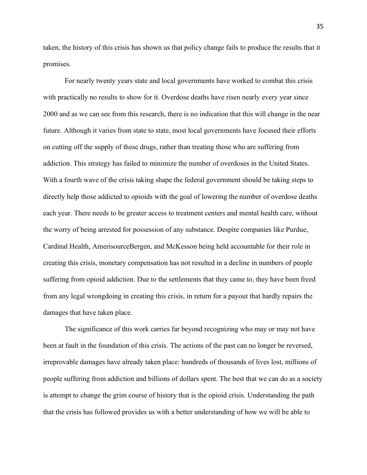taken, the history of this crisis has shown us that policy change fails to produce the results that it promises.

For nearly twenty years state and local governments have worked to combat this crisis with practically no results to show for it. Overdose deaths have risen nearly every year since 2000 and as we can see from this research, there is no indication that this will change in the near future. Although it varies from state to state, most local governments have focused their efforts on cutting off the supply of these drugs, rather than treating those who are suffering from addiction. This strategy has failed to minimize the number of overdoses in the United States. With a fourth wave of the crisis taking shape the federal government should be taking steps to directly help those addicted to opioids with the goal of lowering the number of overdose deaths each year. There needs to be greater access to treatment centers and mental health care, without the worry of being arrested for possession of any substance. Despite companies like Purdue, Cardinal Health, AmerisourceBergen, and McKesson being held accountable for their role in creating this crisis, monetary compensation has not resulted in a decline in numbers of people suffering from opioid addiction. Due to the settlements that they came to, they have been freed from any legal wrongdoing in creating this crisis, in return for a payout that hardly repairs the damages that have taken place.

The significance of this work carries far beyond recognizing who may or may not have been at fault in the foundation of this crisis. The actions of the past can no longer be reversed, irreprovable damages have already taken place: hundreds of thousands of lives lost, millions of people suffering from addiction and billions of dollars spent. The best that we can do as a society is attempt to change the grim course of history that is the opioid crisis. Understanding the path that the crisis has followed provides us with a better understanding of how we will be able to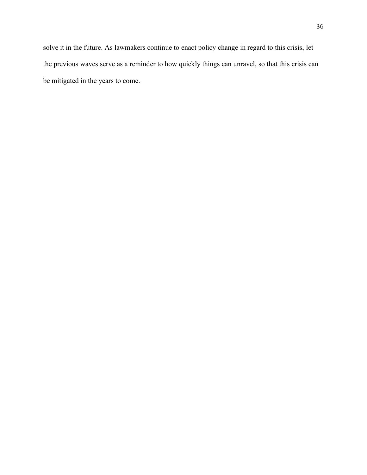solve it in the future. As lawmakers continue to enact policy change in regard to this crisis, let the previous waves serve as a reminder to how quickly things can unravel, so that this crisis can be mitigated in the years to come.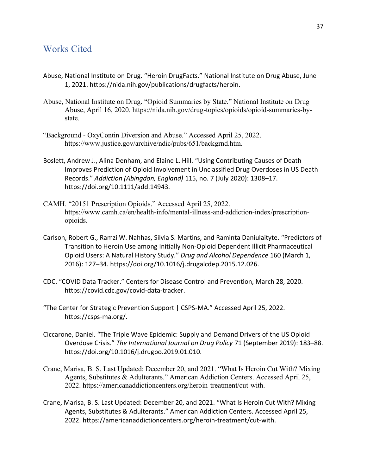## <span id="page-37-0"></span>Works Cited

- Abuse, National Institute on Drug. "Heroin DrugFacts." National Institute on Drug Abuse, June 1, 2021. https://nida.nih.gov/publications/drugfacts/heroin.
- Abuse, National Institute on Drug. "Opioid Summaries by State." National Institute on Drug Abuse, April 16, 2020. https://nida.nih.gov/drug-topics/opioids/opioid-summaries-bystate.
- "Background OxyContin Diversion and Abuse." Accessed April 25, 2022. https://www.justice.gov/archive/ndic/pubs/651/backgrnd.htm.
- Boslett, Andrew J., Alina Denham, and Elaine L. Hill. "Using Contributing Causes of Death Improves Prediction of Opioid Involvement in Unclassified Drug Overdoses in US Death Records." *Addiction (Abingdon, England)* 115, no. 7 (July 2020): 1308–17. https://doi.org/10.1111/add.14943.
- CAMH. "20151 Prescription Opioids." Accessed April 25, 2022. https://www.camh.ca/en/health-info/mental-illness-and-addiction-index/prescriptionopioids.
- Carlson, Robert G., Ramzi W. Nahhas, Silvia S. Martins, and Raminta Daniulaityte. "Predictors of Transition to Heroin Use among Initially Non-Opioid Dependent Illicit Pharmaceutical Opioid Users: A Natural History Study." *Drug and Alcohol Dependence* 160 (March 1, 2016): 127–34. https://doi.org/10.1016/j.drugalcdep.2015.12.026.
- CDC. "COVID Data Tracker." Centers for Disease Control and Prevention, March 28, 2020. https://covid.cdc.gov/covid-data-tracker.
- "The Center for Strategic Prevention Support | CSPS-MA." Accessed April 25, 2022. https://csps-ma.org/.
- Ciccarone, Daniel. "The Triple Wave Epidemic: Supply and Demand Drivers of the US Opioid Overdose Crisis." *The International Journal on Drug Policy* 71 (September 2019): 183–88. https://doi.org/10.1016/j.drugpo.2019.01.010.
- Crane, Marisa, B. S. Last Updated: December 20, and 2021. "What Is Heroin Cut With? Mixing Agents, Substitutes & Adulterants." American Addiction Centers. Accessed April 25, 2022. https://americanaddictioncenters.org/heroin-treatment/cut-with.
- Crane, Marisa, B. S. Last Updated: December 20, and 2021. "What Is Heroin Cut With? Mixing Agents, Substitutes & Adulterants." American Addiction Centers. Accessed April 25, 2022. https://americanaddictioncenters.org/heroin-treatment/cut-with.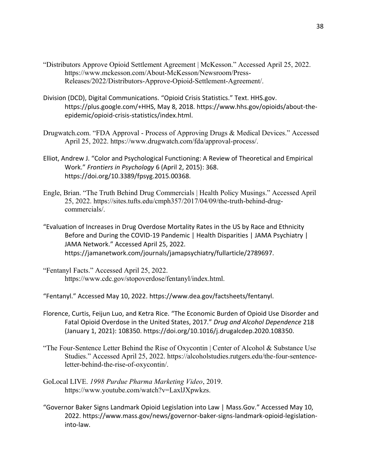- "Distributors Approve Opioid Settlement Agreement | McKesson." Accessed April 25, 2022. https://www.mckesson.com/About-McKesson/Newsroom/Press-Releases/2022/Distributors-Approve-Opioid-Settlement-Agreement/.
- Division (DCD), Digital Communications. "Opioid Crisis Statistics." Text. HHS.gov. https://plus.google.com/+HHS, May 8, 2018. https://www.hhs.gov/opioids/about-theepidemic/opioid-crisis-statistics/index.html.
- Drugwatch.com. "FDA Approval Process of Approving Drugs & Medical Devices." Accessed April 25, 2022. https://www.drugwatch.com/fda/approval-process/.
- Elliot, Andrew J. "Color and Psychological Functioning: A Review of Theoretical and Empirical Work." *Frontiers in Psychology* 6 (April 2, 2015): 368. https://doi.org/10.3389/fpsyg.2015.00368.
- Engle, Brian. "The Truth Behind Drug Commercials | Health Policy Musings." Accessed April 25, 2022. https://sites.tufts.edu/cmph357/2017/04/09/the-truth-behind-drugcommercials/.
- "Evaluation of Increases in Drug Overdose Mortality Rates in the US by Race and Ethnicity Before and During the COVID-19 Pandemic | Health Disparities | JAMA Psychiatry | JAMA Network." Accessed April 25, 2022. https://jamanetwork.com/journals/jamapsychiatry/fullarticle/2789697.
- "Fentanyl Facts." Accessed April 25, 2022. https://www.cdc.gov/stopoverdose/fentanyl/index.html.
- "Fentanyl." Accessed May 10, 2022. https://www.dea.gov/factsheets/fentanyl.
- Florence, Curtis, Feijun Luo, and Ketra Rice. "The Economic Burden of Opioid Use Disorder and Fatal Opioid Overdose in the United States, 2017." *Drug and Alcohol Dependence* 218 (January 1, 2021): 108350. https://doi.org/10.1016/j.drugalcdep.2020.108350.
- "The Four-Sentence Letter Behind the Rise of Oxycontin | Center of Alcohol & Substance Use Studies." Accessed April 25, 2022. https://alcoholstudies.rutgers.edu/the-four-sentenceletter-behind-the-rise-of-oxycontin/.
- GoLocal LIVE. *1998 Purdue Pharma Marketing Video*, 2019. https://www.youtube.com/watch?v=LaxlJXpwkzs.
- "Governor Baker Signs Landmark Opioid Legislation into Law | Mass.Gov." Accessed May 10, 2022. https://www.mass.gov/news/governor-baker-signs-landmark-opioid-legislationinto-law.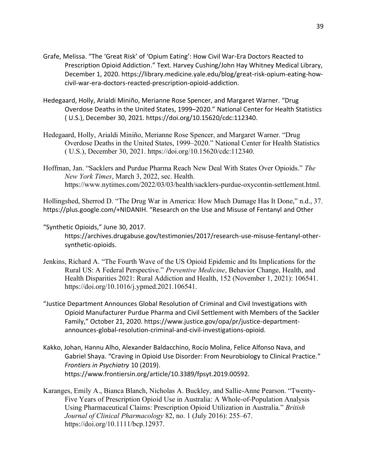- Grafe, Melissa. "The 'Great Risk' of 'Opium Eating': How Civil War-Era Doctors Reacted to Prescription Opioid Addiction." Text. Harvey Cushing/John Hay Whitney Medical Library, December 1, 2020. https://library.medicine.yale.edu/blog/great-risk-opium-eating-howcivil-war-era-doctors-reacted-prescription-opioid-addiction.
- Hedegaard, Holly, Arialdi Miniño, Merianne Rose Spencer, and Margaret Warner. "Drug Overdose Deaths in the United States, 1999–2020." National Center for Health Statistics ( U.S.), December 30, 2021. https://doi.org/10.15620/cdc:112340.
- Hedegaard, Holly, Arialdi Miniño, Merianne Rose Spencer, and Margaret Warner. "Drug Overdose Deaths in the United States, 1999–2020." National Center for Health Statistics ( U.S.), December 30, 2021. https://doi.org/10.15620/cdc:112340.
- Hoffman, Jan. "Sacklers and Purdue Pharma Reach New Deal With States Over Opioids." *The New York Times*, March 3, 2022, sec. Health. https://www.nytimes.com/2022/03/03/health/sacklers-purdue-oxycontin-settlement.html.

Hollingshed, Sherrod D. "The Drug War in America: How Much Damage Has It Done," n.d., 37. https://plus.google.com/+NIDANIH. "Research on the Use and Misuse of Fentanyl and Other

- "Synthetic Opioids," June 30, 2017. https://archives.drugabuse.gov/testimonies/2017/research-use-misuse-fentanyl-othersynthetic-opioids.
- Jenkins, Richard A. "The Fourth Wave of the US Opioid Epidemic and Its Implications for the Rural US: A Federal Perspective." *Preventive Medicine*, Behavior Change, Health, and Health Disparities 2021: Rural Addiction and Health, 152 (November 1, 2021): 106541. https://doi.org/10.1016/j.ypmed.2021.106541.
- "Justice Department Announces Global Resolution of Criminal and Civil Investigations with Opioid Manufacturer Purdue Pharma and Civil Settlement with Members of the Sackler Family," October 21, 2020. https://www.justice.gov/opa/pr/justice-departmentannounces-global-resolution-criminal-and-civil-investigations-opioid.
- Kakko, Johan, Hannu Alho, Alexander Baldacchino, Rocío Molina, Felice Alfonso Nava, and Gabriel Shaya. "Craving in Opioid Use Disorder: From Neurobiology to Clinical Practice." *Frontiers in Psychiatry* 10 (2019). https://www.frontiersin.org/article/10.3389/fpsyt.2019.00592.
- Karanges, Emily A., Bianca Blanch, Nicholas A. Buckley, and Sallie-Anne Pearson. "Twenty-Five Years of Prescription Opioid Use in Australia: A Whole-of-Population Analysis Using Pharmaceutical Claims: Prescription Opioid Utilization in Australia." *British Journal of Clinical Pharmacology* 82, no. 1 (July 2016): 255–67. https://doi.org/10.1111/bcp.12937.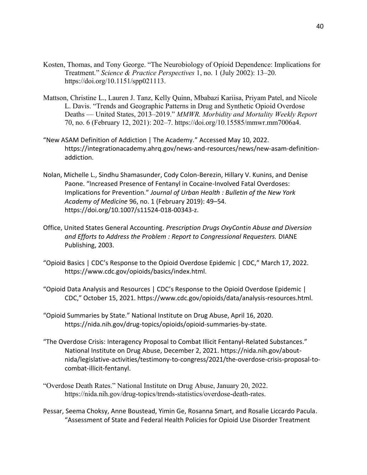- Kosten, Thomas, and Tony George. "The Neurobiology of Opioid Dependence: Implications for Treatment." *Science & Practice Perspectives* 1, no. 1 (July 2002): 13–20. https://doi.org/10.1151/spp021113.
- Mattson, Christine L., Lauren J. Tanz, Kelly Quinn, Mbabazi Kariisa, Priyam Patel, and Nicole L. Davis. "Trends and Geographic Patterns in Drug and Synthetic Opioid Overdose Deaths — United States, 2013–2019." *MMWR. Morbidity and Mortality Weekly Report* 70, no. 6 (February 12, 2021): 202–7. https://doi.org/10.15585/mmwr.mm7006a4.
- "New ASAM Definition of Addiction | The Academy." Accessed May 10, 2022. https://integrationacademy.ahrq.gov/news-and-resources/news/new-asam-definitionaddiction.
- Nolan, Michelle L., Sindhu Shamasunder, Cody Colon-Berezin, Hillary V. Kunins, and Denise Paone. "Increased Presence of Fentanyl in Cocaine-Involved Fatal Overdoses: Implications for Prevention." *Journal of Urban Health : Bulletin of the New York Academy of Medicine* 96, no. 1 (February 2019): 49–54. https://doi.org/10.1007/s11524-018-00343-z.
- Office, United States General Accounting. *Prescription Drugs OxyContin Abuse and Diversion and Efforts to Address the Problem : Report to Congressional Requesters.* DIANE Publishing, 2003.
- "Opioid Basics | CDC's Response to the Opioid Overdose Epidemic | CDC," March 17, 2022. https://www.cdc.gov/opioids/basics/index.html.
- "Opioid Data Analysis and Resources | CDC's Response to the Opioid Overdose Epidemic | CDC," October 15, 2021. https://www.cdc.gov/opioids/data/analysis-resources.html.
- "Opioid Summaries by State." National Institute on Drug Abuse, April 16, 2020. https://nida.nih.gov/drug-topics/opioids/opioid-summaries-by-state.
- "The Overdose Crisis: Interagency Proposal to Combat Illicit Fentanyl-Related Substances." National Institute on Drug Abuse, December 2, 2021. https://nida.nih.gov/aboutnida/legislative-activities/testimony-to-congress/2021/the-overdose-crisis-proposal-tocombat-illicit-fentanyl.
- "Overdose Death Rates." National Institute on Drug Abuse, January 20, 2022. https://nida.nih.gov/drug-topics/trends-statistics/overdose-death-rates.
- Pessar, Seema Choksy, Anne Boustead, Yimin Ge, Rosanna Smart, and Rosalie Liccardo Pacula. "Assessment of State and Federal Health Policies for Opioid Use Disorder Treatment